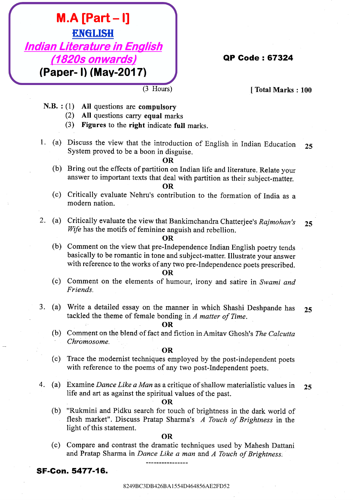# **EXECULISH**<br> **EXECULISH**<br> **EXECULISH**<br> **EXECULISH**<br> **EXECULISH**<br> **EXECULISH**<br> **EXECULISH**<br> **EXECULISHENGENT (TOTAL ALCORATION)**<br> **EXECULISHENGENT (TOTAL ALCORATION)**<br> **EXECULISHENGENT (TOTAL ALCORATION)**<br> **EXECULISHENGENT M.A. Perror 1.1**<br> **ENGLISH**<br> **(1920s onwards)**<br> **(1920s onwards)**<br> **CALIS (1920s on the regularisty**<br> **CALIS (2021)**<br> **CALIS (2021)**<br> **CALIS (2021)**<br> **CALIS (2021)**<br> **CALIS (2021)**<br> **CALIS (2021)**<br> **CALIS (2021)**<br> **CALIS EXECUTE:** 19<br> **EXECUTE: EXECUTE: EXECUTE: EXECUTE: EXECUTE: EXECUTE: EXECUTE: EXECUTE: EXECUTE: EXECUTE: EXECUTE: EXECUTE: EXECUTE: EXECUTE: EXECUTE: EXECUTE: EXECUTE: EXECUTE: EXECUTE M.A. [Part – I]**<br> **Examples 1626 AE2FD526**<br> **Examples 1626 AE2FD528**<br> **Examples 1626 AB42654**<br> **Examples 1626 AB426456**<br> **C3** D4 questions are examples of<br>
(3) D4 questions are examples to the simulation of Regulation Li **M.A. [Parti – I]**<br> **ENGLISHE**<br> **ENGLISHER CALIFE CONSULSERED (PARTICUSE)**<br> **PADER CALIFE CONSULSERED (PARTICUSE)**<br>
N.B.: (1) All questions are computery<br>
(2) All questions are computery<br>
(3) Pignore is the right indicate **M.A. [Part - I]**<br>
EMELISHE<br> **EXECUTE: CALFORE INTERFERENCE (PART - I) (NAV-2017)**<br>
(PADET - I) (MAV-2017)<br>
(BA1554 are computed to the simulated<br>
(2) Affects to dx. with taking the simulated<br>
(3) Pietres to dx. with ta **EXECTS13**<br> **EXECUTE ACTION CONTINUES ACTION CONTINUES ACTION CONTINUES ACTION CONTINUES ACTION CONTINUES ACTION CONTINUES ACTION CONTINUES ACTION CONTINUES ACTION CONTINUES ACTION CONTINUES ACTION CONTINUES ACTION CONTIN M.A. [Part – I]**<br> **EXELUSH**<br>
(**1820s conventeds)**<br> **(Paper - I) (Max-2017)**<br>
(**214)**<br> **CALF (214)**<br> **CALF (214)**<br> **CALF (214)**<br> **CALF (214)**<br> **CALF (214)**<br> **CALF (214)**<br> **CALF (214)**<br> **CALF (214)**<br> **CALF M.A. [Part – I]**<br> **EXELUSH**<br>
(**1820s conventeds)**<br> **(Paper - I) (Max-2017)**<br>
(**214)**<br> **CALF (214)**<br> **CALF (214)**<br> **CALF (214)**<br> **CALF (214)**<br> **CALF (214)**<br> **CALF (214)**<br> **CALF (214)**<br> **CALF (214)**<br> **CALF M.A. [Part – I]**<br> **EXELUSH**<br>
(**1820s conventeds)**<br> **(Paper - I) (Max-2017)**<br>
(**214)**<br> **CALF (214)**<br> **CALF (214)**<br> **CALF (214)**<br> **CALF (214)**<br> **CALF (214)**<br> **CALF (214)**<br> **CALF (214)**<br> **CALF (214)**<br> **CALF M.A. [Part – I]**<br> **EXELUSH**<br>
(**1820s conventeds)**<br> **(Paper - I) (Max-2017)**<br>
(**214)**<br> **CALF (214)**<br> **CALF (214)**<br> **CALF (214)**<br> **CALF (214)**<br> **CALF (214)**<br> **CALF (214)**<br> **CALF (214)**<br> **CALF (214)**<br> **CALF EXAMPLE 1.1**<br> **EXAMPLE 1.1 EXAMPLE 1.1 CASE CONTROVER CONTROVER CONTROVER CONTROVER CONTROVER CONTROVER CONTROVER CONTROVER CONTROVER CONTROVER CONTROVER CONTROVER CONTROVER CONTROVER CONTROVER CONTROVER CONTROVER CO EXELUSH**<br> **EXECUTE:**<br> **EXECUTE:**<br> **EXECUTE:**<br> **EXECUTE:**<br> **EXECUTE:**<br> **EXECUTE:**<br> **EXECUTE:**<br> **EXECUTE:**<br> **EXECUTE:**<br> **EXECUTE:**<br> **EXECUTE:**<br> **EXECUTE:**<br> **EXECUTE:**<br> **EXECUTE:**<br> **EXECUTE:**<br> **EXECUTE:**<br> **EXECUTE:**<br> **EXECU EXELUSHERENT (198249848)**<br> **EXECUTE: EXECUTE: CALIFACTS**<br> **EXECUTE: CALIFACTS**<br> **EXECUTE: CALIFACTS**<br> **EXECUTE: CALIFACTS**<br> **EXECUTE: CALIFACTS**<br> **EXECUTE: CALIFACTS**<br> **EXECUTE: CALIFACTS**<br> **EXECUTE: CA EXELUSE 11**<br> **EXECUTE:**<br> **EXECUTE:**<br> **CALIFACTERIZE (ATTACTED)**<br> **CALIFACTERIZE (ATTACTED)**<br> **CALIFACTES CALIFACTES**<br> **CALIFACTES**<br> **CALIFACTES**<br> **CALIFACTES**<br> **CALIFACTES**<br> **CALIFACTES**<br> **CALIFACTES**<br> **CALIFACTES**<br> **CAL EXECTS ARA FRACH - II**<br> **EXECUTE:** (A) AD exciteme and **C** Homas Regulatory (Total Marks : 100<br>
Total Marks : 100<br>
A.B. (1) All exciting an example are<br>
(2) Prigeres to be right had to have been able to the selection and **EXECUTE:**<br> **EXECUTE 12449**<br> **EXECUTE 2020 CONVERTED**<br> **EXECUTE 12449-2017)**<br> **CALF CASE CONVERTED**<br> **CALF CASE CONSECUTE 2024**<br> **CALF CASE CONSECUTE 2024**<br> **CALF CASE CONSECUTE 2024**<br> **CALF CASE CONSECUTE 2024**<br> **CALF CA** 8249BC3DB426BA1554D464856AE2FD528249BC3DB426BA1554D464856AE2FD528249BC3DB426BA1554D464856AE2FD528249BC3DB426BA1554D464856AE2FD528249BC3DB426BA1554D464856AE2FD528249BC3DB426BA1554D464856AE2FD52 8249BC3DB426BA1554D464856AE2FD528249BC3DB426BA1554D464856AE2FD528249BC3DB426BA1554D464856AE2FD528249BC3DB426BA1554D464856AE2FD528249BC3DB426BA1554D464856AE2FD528249BC3DB426BA1554D464856AE2FD52 **EXECTE FROM ACTIVE CONSULTERED ACTIVE CONSULTERED ACTIVE CONSULTERED (PISON ACTIVE CONSULTERED ACTIVE CONSULTERED ACTIVE CONSULTERED ACTIVE CONSULTERED ACTIVE CONSULTERED (b) The previous one computation of Extension of**

- -
	-
- 

- 
- 

- 
- -
	-

- 
- 

### 8249BC3DB426BA1554D464856AE2FD52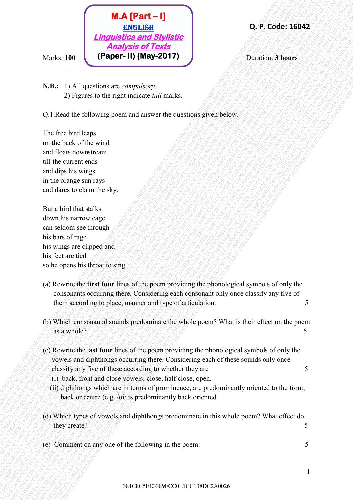

**N.B.:** 1) All questions are *compulsory*. 2) Figures to the right indicate *full* marks.

Q.1.Read the following poem and answer the questions given below.

The free bird leaps on the back of the wind and floats downstream till the current ends and dips his wings in the orange sun rays and dares to claim the sky.

But a bird that stalks down his narrow cage can seldom see through his bars of rage his wings are clipped and his feet are tied so he opens his throat to sing.

ÿ

- 381C8C5EE3389FCC0E1CC138DC2A0026381C8C5EE3389FCC0E1CC138DC2A0026381C8C5EE3389FCC0E1CC138DC2A0026381C8C5EE3389FCC0E1CC138DC2A0026381C8C5EE3389FCC0E1CC138DC2A0026381C8C5EE3389FCC0E1CC138DC2A0026 **EXAMPLE CONSERVATION**<br> **EXAMPLE CONSERVATION**<br> **THESE**<br> **EXACT CONSERVATION**<br> **EXACT CONSERVATION**<br> **EXACT CONSERVATION**<br> **EXACT CONSERVATION**<br> **EXACT CONSERVATION**<br> **EXACT CONSERVATION**<br> **EXACT CONSERVATION**<br> **EXACT CON EXECUTE:**<br> **EXECUTE:**<br> **CAPITE CONTINUATIONS AND CONTINUATION**<br> **CAPITE CONTINUATIONS AND CONTINUATION**<br> **CAPITE CONTINUATIONS AND CONTINUATION**<br> **CAPITE CONTINUATIONS AND CONTINUATION**<br> **CAPITE CONTINUATION**<br> **CAPITE CO** 381C8C5EE3389FCC0E1CC138DC2A0026381C8C5EE3389FCC0E1CC138DC2A0026381C8C5EE3389FCC0E1CC138DC2A0026381C8C5EE3389FCC0E1CC138DC2A0026381C8C5EE3389FCC0E1CC138DC2A0026381C8C5EE3389FCC0E1CC138DC2A0026 **38.** C<br> **Example 2020**<br> **Example 2020**<br> **Example 2020**<br> **Example 2020**<br> **Example 2020**<br> **Example 2020**<br> **Example 2020**<br> **Example 2020**<br> **Example 2020**<br> **Example 2020**<br> **Example 2020**<br> **Example 2020**<br> **Example 2020**<br> **Exa** 381C8C5EE3389FCC0E1CC138DC2A0026381C8C5EE3389FCC0E1CC138DC2A0026381C8C5EE3389FCC0E1CC138DC2A0026381C8C5EE3389FCC0E1CC138DC2A0026381C8C5EE3389FCC0E1CC138DC2A0026381C8C5EE3389FCC0E1CC138DC2A0026 **38.** Columbus 1001 **CALCED CONTERVALUATION**<br>
28. Columbus 2013 Columbus 2013 Columbus 2013<br>
28. Columbus 2013 Columbus 2013<br>
28. Columbus 2013 Columbus 2013 Columbus 2013<br>
28. Columbus 2013 Columbus 2013 Columbus 2013 Co 381C8C5EE3389FCC0E1CC138DC2A0026381C8C5EE3389FCC0E1CC138DC2A0026381C8C5EE3389FCC0E1CC138DC2A0026381C8C5EE3389FCC0E1CC138DC2A0026381C8C5EE3389FCC0E1CC138DC2A0026381C8C5EE3389FCC0E1CC138DC2A0026 381C8C5EE3389FCC0E1CC138DC2A0026381C8C5EE3389FCC0E1CC138DC2A0026381C8C5EE3389FCC0E1CC138DC2A0026381C8C5EE3389FCC0E1CC138DC2A0026381C8C5EE3389FCC0E1CC138DC2A0026381C8C5EE3389FCC0E1CC138DC2A0026 381C8C5EE3389FCC0E1CC138DC2A0026381C8C5EE3389FCC0E1CC138DC2A0026381C8C5EE3389FCC0E1CC138DC2A0026381C8C5EE3389FCC0E1CC138DC2A0026381C8C5EE3389FCC0E1CC138DC2A0026381C8C5EE3389FCC0E1CC138DC2A0026 381C8C5EE3389FCC0E1CC138DC2A0026381C8C5EE3389FCC0E1CC138DC2A0026381C8C5EE3389FCC0E1CC138DC2A0026381C8C5EE3389FCC0E1CC138DC2A0026381C8C5EE3389FCC0E1CC138DC2A0026381C8C5EE3389FCC0E1CC138DC2A0026 **38.** CFR (**ATTA (Part - 1)**<br>
2. Madde 2. **FOCOEF CONSULS CONSULS CONSULS CONSULS CONSULS CONSULS CONSULS CONSULS CONSULS CONSULS CONSULS CONSULS CONSULS CONSULS CONSULS CONSULS CONSULS CONSULS CONSULS CONSULS CONSULS CON 38.** State 1. **State 1. Consumer of the Consumer Consumer Consumer Consumer Consumer Consumer Consumer Consumer Consumer Consumer Consumer Consumer Consumer Consumer Consumer Consumer Consumer Consumer Consumer Consume 38.** CF **CONSULT II**<br> **381CBCS CONSULTS AND CONSULTS AND CONSULTS AND CONSULTS AND CONSULTS AND CONSULTS AND CONSULTS (DEVELOP)**<br>
3. The green to the right indicate action process and a green of the right indicate point **38.1. CALCOCSET**<br> **EXECUTIVE CONSULTER CONSULTER CONSULTER CONSULTS AND CONSULTS ARE CONSULTS AND CONSULTS ARE CONSULTS (CONSULTS)**<br> **CALCOCSEERS**<br> **CALCOCSEERS** FOR CONSULTS AND CONSULTS (CONSULTS) (CONSULTS) (CONSULT **38.1. Control Control Control CC1381**<br>
CREATER CONTENTS OF THE CONTENTS OF THE CONTENTS OF THE CONTENTS OF THE CONTENTS OF THE CONTENTS OF THE CONTENTS OF THE CONTENTS OF THE CONTENTS OF THE CONTENTS OF THE CONTENTS OF **38.1. CFF CFF CFF CFF CFF CFF CC1380**<br>
CAPS Contact a Comparison of Edvard CFF Contact a Comparison of Equation of Equation of Equation of Equation of Equation of Equation of Equation of Equation of Equation of Equatio **381 CFC 10**<br> **381CFC CONTEXT CONTEXT CONTEXT CONTEXT CONTEXT CONTEXT CONTEXT CONTEXT CONTEXT CONTEXT CONTEXT CONTEXT CONTEXT CONTEXT CONTEXT CONTEXT CONTEXT CONTEXT CONTEXT CONTEXT CONTEXT CONTEXT CONTEXT CONTEXT CONTEXT 18. A. (Part - 1)**<br> **381Cs a 1740 2881Cs and Stylightic and Stylightic (Altanta, 200)**<br> **381Cs 11740 control (Altanta, 200)** (Dansion 23 hours<br>
38. Ex 11740 control and experimental and the server the questions given bel 381C8C5EE3389FCC0E1CC138DC2A0026381C8C5EE3389FCC0E1CC138DC2A0026381C8C5EE3389FCC0E1CC138DC2A0026381C8C5EE3389FCC0E1CC138DC2A0026381C8C5EE3389FCC0E1CC138DC2A0026381C8C5EE3389FCC0E1CC138DC2A0026 (a) Rewrite the **first four** lines of the poem providing the phonological symbols of only the consonants occurring there. Considering each consonant only once classify any five of them according to place, manner and type of articulation. 5
	- (b) Which consonantal sounds predominate the whole poem? What is their effect on the poem as a whole? 5
	- (c) Rewrite the **last four** lines of the poem providing the phonological symbols of only the vowels and diphthongs occurring there. Considering each of these sounds only once classify any five of these according to whether they are 5
		- (i) back, front and close vowels; close, half close, open.
		- (ii) diphthongs which are in terms of prominence, are predominantly oriented to the front, back or centre (e.g. /oi/ is predominantly back oriented.
	- (d) Which types of vowels and diphthongs predominate in this whole poem? What effect do they create?  $5\%$
	- (e) Comment on any one of the following in the poem: 5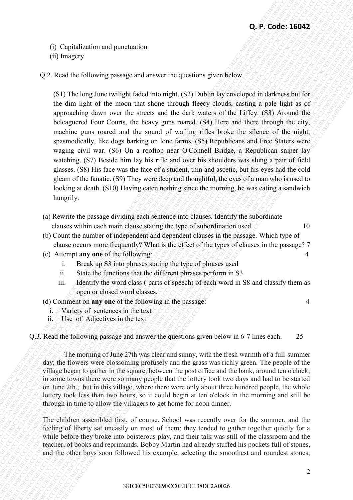- (i) Capitalization and punctuation
- (ii) Imagery
- Q.2. Read the following passage and answer the questions given below.

**Q.** P. Code: 16042<br>
(ii) hangery<br>
(2). Road de following passage and answer the question given below.<br>
(8) The long there were inject of the control show theorem (83) but<br>the following the street of the following the con **Q.** P. Coole: 16042<br>
(f) Uspirals the following measure and monoton the operation given below<br>
(8) I The long-June will given be on the single (8) Doldk in the contempt of the long-long-stating theorem on the long-statin **CF** C Contribute and punction on<br>
CFF Control in the signal control in the quasi-major strength (SPT) the<br>
CFF CC13 Units are the signal control in the signal control in the signal control in the<br>
definition of the signa **43** Can Capital matrix purcessions and purcessions are construent given the operator given by the Matrix State (S1) The large of the state of the state of the state of the state of the state of the state of the state of **43.** F(1) Contraction and memberion<br>
(6) Fragmey<br>
62. Read the following parameterism distance of metalog given below<br>
in (1) The large given equilibrius the interval of the dashed and variable previously in the control **33** C) C picalization and punctuation<br>
(1) the agency<br>
(2) Real the following puncage and answer from spearing given below.<br>
(3) Club log-2Aus Weight (3) Club log-24BC 329 Diobilization weilds additional balancal balanca **38** CF Content is the material of the material of the content is the content is the content is the content is the content is the content is the content is the content is the content is the content is the content is the c **33** Computation and punctions of the computation can compute the computation of the computation of the computation of the computation of the computation of the computation of the computation of the computation of the com **33** Computation and punctions of the computation can compute the computation of the computation of the computation of the computation of the computation of the computation of the computation of the computation of the com **33** Computation and punctions of the computation can compute the computation of the computation of the computation of the computation of the computation of the computation of the computation of the computation of the com **33** Computation and punctions of the computation can compute the computation of the computation of the computation of the computation of the computation of the computation of the computation of the computation of the com **33** CF, Copulation and pursuanism<br>
(a) Straige of the Coloring parameterization of equations photo between the dimensional control of the Copulations of the Copulations of the Copulations of the Copulations of the Copula 39 CF Cordistingtion and purecumies:<br>
39 CF Cordist and the material correspondent content and the specific defined by the cordist and the specific definite particle defined by the material correspondent content and the **33 C**  $\frac{1}{2}$  C C A control is the control in the control in the control in the control in the control in the control in the control in the control in the control in the control in the control in the control in the c **38 Crack Content Content Content Content Content Content Content Content Content Content Content Content Content Content Content Content Content Content Content Content Content Content Content Content Content Content Con 3**Q. **P.** Control of the method of the method of the method of the method of the method in the method in the method in the method in the method in the method in the method in the method in the method in the method in the **33** Constitution and punctuation<br>
(b) brogery<br>
32 C Read be following puncing manage and amove the quasitions given heliotheric intermedictions are<br>
(S) The language and amove the quasitions given heliotheric intermedict **33** Contention Contention Contention Contention Contention Contention Contention Contention Contention Contention Contention Contention Contention Contention Contention Contention Contention Contention Contention Content **43** C (2) The Heather of the Control of the Control of the Control of the Control of the Control of the Control of the Control of the Control of the Control of the Control of the Control of the Control of the Control of **42. 62. 62. 62. 62. 62. 62. 62. 62. 62. 62. 62. 62. 62. 62. 62. 62. 62. 62. 62. 62. 62. 62. 62. 62. 62. 62. 62. 62. 62. 62. 62. 62. 62. 62. 62. 62.** (S1) The long June twilight faded into night. (S2) Dublin lay enveloped in darkness but for the dim light of the moon that shone through fleecy clouds, casting a pale light as of approaching dawn over the streets and the dark waters of the Liffey. (S3) Around the beleaguered Four Courts, the heavy guns roared. (S4) Here and there through the city, machine guns roared and the sound of wailing rifles broke the silence of the night, spasmodically, like dogs barking on lone farms. (S5) Republicans and Free Staters were waging civil war. (S6) On a rooftop near O'Connell Bridge, a Republican sniper lay watching. (S7) Beside him lay his rifle and over his shoulders was slung a pair of field glasses. (S8) His face was the face of a student, thin and ascetic, but his eyes had the cold gleam of the fanatic. (S9) They were deep and thoughtful, the eyes of a man who is used to looking at death. (S10) Having eaten nothing since the morning, he was eating a sandwich hungrily.

- (a) Rewrite the passage dividing each sentence into clauses. Identify the subordinate clauses within each main clause stating the type of subordination used.  $\sim$  10
- (b) Count the number of independent and dependent clauses in the passage. Which type of clause occurs more frequently? What is the effect of the types of clauses in the passage? 7
- (c) Attempt **any one** of the following: 4
	- i. Break up S3 into phrases stating the type of phrases used
	- ii. State the functions that the different phrases perform in S3
	- iii. Identify the word class ( parts of speech) of each word in S8 and classify them as open or closed word classes.
- (d) Comment on **any one** of the following in the passage: 4
	- i. Variety of sentences in the text
	- ii. Use of Adjectives in the text

Q.3. Read the following passage and answer the questions given below in 6-7 lines each. 25

The morning of June 27th was clear and sunny, with the fresh warmth of a full-summer day; the flowers were blossoming profusely and the grass was richly green. The people of the village began to gather in the square, between the post office and the bank, around ten o'clock; in some towns there were so many people that the lottery took two days and had to be started on June 2th., but in this village, where there were only about three hundred people, the whole lottery took less than two hours, so it could begin at ten o'clock in the morning and still be through in time to allow the villagers to get home for noon dinner.

The children assembled first, of course. School was recently over for the summer, and the feeling of liberty sat uneasily on most of them; they tended to gather together quietly for a while before they broke into boisterous play, and their talk was still of the classroom and the teacher, of books and reprimands. Bobby Martin had already stuffed his pockets full of stones, and the other boys soon followed his example, selecting the smoothest and roundest stones;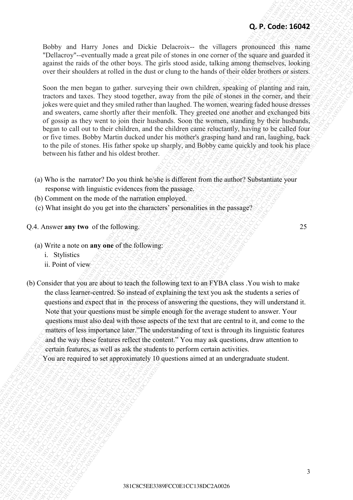Bobby and Harry Jones and Dickie Delacroix-- the villagers pronounced this name "Dellacroy"--eventually made a great pile of stones in one corner of the square and guarded it against the raids of the other boys. The girls stood aside, talking among themselves, looking over their shoulders at rolled in the dust or clung to the hands of their older brothers or sisters.

Soon the men began to gather. surveying their own children, speaking of planting and rain, tractors and taxes. They stood together, away from the pile of stones in the corner, and their jokes were quiet and they smiled rather than laughed. The women, wearing faded house dresses and sweaters, came shortly after their menfolk. They greeted one another and exchanged bits of gossip as they went to join their husbands. Soon the women, standing by their husbands, began to call out to their children, and the children came reluctantly, having to be called four or five times. Bobby Martin ducked under his mother's grasping hand and ran, laughing, back to the pile of stones. His father spoke up sharply, and Bobby came quickly and took his place between his father and his oldest brother.

- (a) Who is the narrator? Do you think he/she is different from the author? Substantiate your response with linguistic evidences from the passage.
- (b) Comment on the mode of the narration employed.
- (c) What insight do you get into the characters' personalities in the passage?

**O.4. Answer any two** of the following. 25

- (a) Write a note on **any one** of the following:
	- i. Stylistics
	- ii. Point of view
- **C**<sub>2</sub>P. **Code:** 1897 1981 and Dicker Delayers the svittage measure of the reality of the state of the state of the code state of the code of the code of the code of the code of the code of the code of the code of the co **Q. P. Code: 16042**<br>
18. Entropy and Hotel shows and Dubble Detactors in the virtual space in the virtual space in the result of the control space in the space of the space of the space of the space of the space of the spa **38.** Consider the projection of the consistent of the state of the state of the state of the state of the state of the state of the state of the state of the state of the state of the state of the state of the state of t **2. 2. Bothoy** and Ethnicy Jones and Dickie Delayence- the villages geomenicod dia stance Theories of the format control the control term is control to the stance of the format control term is the stance of the stance **43. Feature 10.5** Context into the context into the context into the context of the context of the context of the context of the context of the context of the context of the context of the context of the context of the c **38**<br> **39. Product 3632**<br> **381CR-200263**<br> **382CR-20023**<br> **382CR-20023**<br> **382CR-20023**<br> **382CR-20023**<br> **382CR-20023**<br> **382CR-20023**<br> **382CR-20023**<br> **59. 59. and the distribution at the case of summing the interior distr** 38 Conserver to the model of the transies of the temperature of the model of the model of the model of the model of the model of the model of the model of the model of the model of the model of the model of the model of th **38.6**FCC and Here, Jones and Diebter Columnon-the subgrave grounds of the means segment be considered with the subgrave of the subset of the subset of the subset of the subset of the subset of the subset of the subset of **38.6**FCC and Here, Jones and Diebter Columnon-the subgrave grounds of the means segment be considered with the subgrave of the subset of the subset of the subset of the subset of the subset of the subset of the subset of **38.6**FCC and Here, Jones and Diebter Columnon-the subgrave grounds of the means segment be considered with the subgrave of the subset of the subset of the subset of the subset of the subset of the subset of the subset of **38.6**FCC and Here, Jones and Diebter Columnon-the subgrave grounds of the means segment be considered with the subgrave of the subset of the subset of the subset of the subset of the subset of the subset of the subset of **38**<br> **381C**  $\sim$  382C  $\sim$  382C  $\sim$  382C  $\sim$  382C  $\sim$  382C  $\sim$  382C  $\sim$  382C  $\sim$  382C  $\sim$  382C  $\sim$  382C  $\sim$  382C  $\sim$  382C  $\sim$  382C  $\sim$  382C  $\sim$  382C  $\sim$  382C  $\sim$  382C  $\sim$  382C  $\sim$  382C  $\sim$  382C  $\sim$  382 **38**<br> **381CFC** can consider the state of the state of the state of the state of the state of the state of the state of the state of the state of the state of the state of the state of the state of the state of the state o **42 P. Code: 10x1**2 Joses and Doda's Desearch - the virtual properties point and a properties of the code in the code in the code in the code in the code in the code in the code in the code in the code in the code in the 381C8C5EE3389FCC0E1CC138DC2A0026381C8C5EE3389FCC0E1CC138DC2A0026381C8C5EE3389FCC0E1CC138DC2A0026381C8C5EE3389FCC0E1CC138DC2A0026381C8C5EE3389FCC0E1CC138DC2A0026381C8C5EE3389FCC0E1CC138DC2A0026 **38** CF Code: 1878 FCC 138 The properties of the context of the system of the system of the system of the system of the system of the system of the system of the system of the system of the system of the system of the sys **38** CF. Colors and Dickie Delacocos- the villagens produced to make the second to make the second to make the second to make the second to make the second to make the second to make the second to make the second to make **43. 43. 43. 43. 43. 43. 43. 43. 43. 43. 43. 43. 43. 43. 43. 43. 43. 43. 43. 43. 43. 43. 43. 43. 43. 43. 43. 43. 43. 43. 43. 43. 43. 43. 43. 43. 43. 38** CP-2 Code: 10 Unity Junes, and Dicks: Delactors... the villagency provided this state of the state of the state of the state of the state of the state of the state of the state of the state of the state of the state **28. Broad Harry James and Diskie Dislaems— the villagers must<br>acquite Table of Society - cycle and y matrix acquite account of the square and gauded it gears in the ratio of the color loss of the gauge allows the situati** (b) Consider that you are about to teach the following text to an FYBA class .You wish to make the class learner-centred. So instead of explaining the text you ask the students a series of questions and expect that in the process of answering the questions, they will understand it. Note that your questions must be simple enough for the average student to answer. Your questions must also deal with those aspects of the text that are central to it, and come to the matters of less importance later."The understanding of text is through its linguistic features and the way these features reflect the content." You may ask questions, draw attention to certain features, as well as ask the students to perform certain activities.

You are required to set approximately 10 questions aimed at an undergraduate student.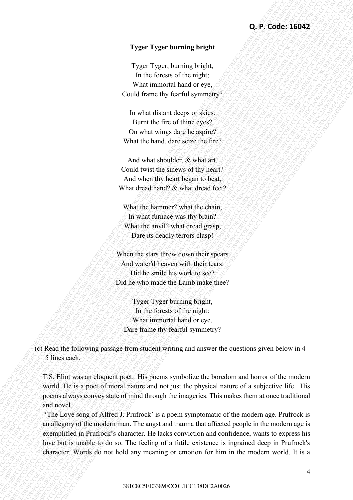### **Tyger Tyger burning bright**

Tyger Tyger, burning bright, In the forests of the night; What immortal hand or eye, Could frame thy fearful symmetry?

In what distant deeps or skies. Burnt the fire of thine eyes? On what wings dare he aspire? What the hand, dare seize the fire?

And what shoulder, & what art, Could twist the sinews of thy heart? And when thy heart began to beat, What dread hand? & what dread feet?

What the hammer? what the chain, In what furnace was thy brain? What the anvil? what dread grasp, Dare its deadly terrors clasp!

When the stars threw down their spears And water'd heaven with their tears: Did he smile his work to see? Did he who made the Lamb make thee?

Tyger Tyger burning bright, In the forests of the night: What immortal hand or eye, Dare frame thy fearful symmetry?

(c) Read the following passage from student writing and answer the questions given below in 4- 5 lines each.

T.S. Eliot was an eloquent poet. His poems symbolize the boredom and horror of the modern world. He is a poet of moral nature and not just the physical nature of a subjective life. His poems always convey state of mind through the imageries. This makes them at once traditional and novel.

**C**, **P**, **Code: 16042**<br> **Tyger Type: hunting horigin,**<br> **The line forcest of the rigid,**<br> **The line forcest of the rigid,**<br> **Could then by the line three one.**<br> **Could then by the main properties**<br> **In what the first of 33** CF. P. Code: 16042<br>
38 The resume of forecastic heating the cycles.<br>
38 The resume of forecastic heat of cycles.<br>
38 Codd frame only the result of cycles.<br>
38 Codd frame decade accepts to since  $\frac{1}{2}$ <br>
13 For what **32. Expect Type: burnting bright<br>
32. Equal to lead of the maple.**<br>
13. In the case of the maple.<br>
13. In the case of the maple.<br>
13. In the case of the maple.<br>
13. In the case of the maple.<br>
13. In the case of the maple **2.** Proper Tyger humaning hiright<br>
Tyger Tyger, bursting bright,<br>
The first constant decrease of the might of margins.<br>
What intermediate bursting dimensions<br>
2. Local Clause Constant decrease of the constrained constant **43.** Experimental to the control of the singular state of the singular state of the singular state of the singular state of the singular state of the singular state of the singular state of the singular state of the sing **3281FE Typer 1) yer burning brings).**<br>
1) year, but moves of the rights,<br>
1) the boson of the rights of the rights of the rights of the rights of the rights of the rights of the right of the right of the right of the rig **Co. P., Code: 15092**<br>
Type: "Type: "guring bright<br>
In this case of the material bright of exec,<br>
Until the material bright of exec,<br>
Code in the stationary descriptions of the material bright of the material<br>
Source is o **32** CF Typer Typer humaning height<br>
33 Eyes Types: Summar with the digit of the difference of the difference of the difference of the difference of the difference of the difference of the difference of the state of the s **32** CF Typer Typer humaning height<br>
33 Eyes Types: Summar with the digit of the difference of the difference of the difference of the difference of the difference of the difference of the difference of the state of the s **32** CF Typer Typer humaning height<br>
33 Eyes Types: Summar with the digit of the difference of the difference of the difference of the difference of the difference of the difference of the difference of the state of the s **32** CF Typer Typer humaning height<br>
33 Eyes Types: Summar with the digit of the difference of the difference of the difference of the difference of the difference of the difference of the difference of the state of the s **33** CR. **P**. **Co. F**. **Example 19 comparison** FCC 120 **C** is the form of the form of the control of the control of the comparison of the control of the control of the control of the control of the control of the contro 338 CF 138 CF 138 CF 138 CF 138 CF 138 CF 138 CF 138 CF 138 CF 138 CF 138 CF 138 CF 138 CF 138 CF 138 CF 138 CF 138 CF 138 CF 138 CF 138 CF 138 CF 138 CF 138 CF 138 CF 138 CF 138 CF 138 CF 138 CF 138 CF 138 CF 138 CF 138 33 EXT Tyger Tryger humming height<br>
Tryger Tryger humming height.<br>
The incident case of them the mail of coverage of the mail of coverage of the mail of coverage of the mail of coverage of the mail of coverage of the mail **3.** 1 year 1 year barrang bright<br>
3. Type Typer huming bright<br>
3. The interaction of the mail.<br>
6. Could frame thy fourth symmetry?<br>
1. The main discussion of the main decrease of the main decrease of the<br>
1. However whi **C.** *P. Sect* 1382 Tyger Typer burning pright,<br>
Trager Tyger huming pright,<br>
In the transformation of the regular<br>
United transmit descriptions of the regular<br>
Could transmit descriptions and the regular<br>
Burnt the first 381 CBC 126042<br>
38 CR 128 C 128 C 128 C 128 C 128 C 128 C 128 C 128 C 128 C 128 C 128 C 128 C 128 C 128 C 128 C 128 C 128 C 128 C<br>
38 C 128 C 128 C 128 C 128 C 128 C 128 C 128 C 128 C 128 C 128 C 128 C 128 C 128 C 128 C 1 **3. Proper 3. Pyper burnting bright<br>
3.1 year 3.1 year 1.1 years burnting bright.**<br>
1.0 the foresterin tead of regret,<br>
1.0 the foresterin tead of regret.<br>
1.0 the forest contained contained contained contained<br>
1.0 the s **13. Concerning the properation** of the concerning term in the concerning term in the concerning term in the concerning term in the concerning of the concerning of the concerning of the concerning and the concerning and **33.** Expect Tyger humaning bright (2) types there are located to form of the form of the form of the matrix (could frame they from the synchron of the matrix of the matrix of the matrix of the matrix of the control spect 'The Love song of Alfred J. Prufrock' is a poem symptomatic of the modern age. Prufrock is an allegory of the modern man. The angst and trauma that affected people in the modern age is exemplified in Prufrock's character. He lacks conviction and confidence, wants to express his love but is unable to do so. The feeling of a futile existence is ingrained deep in Prufrock's character. Words do not hold any meaning or emotion for him in the modern world. It is a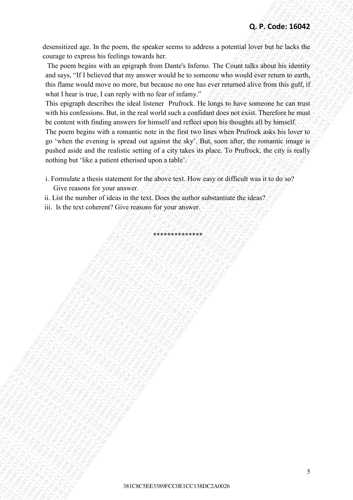desensitized age. In the poem, the speaker seems to address a potential lover but he lacks the courage to express his feelings towards her.

 The poem begins with an epigraph from Dante's Inferno. The Count talks about his identity and says, "If I believed that my answer would be to someone who would ever return to earth, this flame would move no more, but because no one has ever returned alive from this gulf, if what I hear is true, I can reply with no fear of infamy."

38. Code: 16.16c in the most the words have the substitute of the substitute of the posteroid and control and control and control and control and control and control and control and control and control and control and con **C.P.** Code: 160942<br>
documentary as expected by the right start of the mean of the start of the first of the start of the start of the start of the start of the start of the start of the start of the start of the start of **38** Constrainting the the proof), the speaker seems to address a protectial book has been simple to the proof). The proof the proof of the proof of the constraint book has the speaker of the constraint of the constraint **43. Constituted rage.** In the popular stevent to popular stevents to potential loves kind kis county to compute the constitute of the constitute of the constitution of the state of the constitution of the constitution of 381C<br>
382CFC CONTENT THE VALUE OF THE VALUE OF THE VALUE OF THE VALUE OF THE VALUE OF THE VALUE OF THE VALUE OF THE VALUE OF THE VALUE OF THE VALUE OF THE VALUE OF THE VALUE OF THE VALUE OF THE VALUE OF THE VALUE OF THE VA 381C8C5EE3381C8C1 COE1CC138CFCCC138CCCC138CCCCC138CCCCCC138CFCC0C123CFCC0C138C3284FCC0CC138CFCC0C138C3288FCC0CC138C2208FCC0C138C32C38FCC0C138C2208FCC0C138C2C2A002838381C8C5EE338387FCC0C138DC2A0026381C8C5EE33839FCC0C138DC2A 381CREANUTES CONSULTER CONSULTER CONSULTER CONSULTER CONSULTER CONSULTER CONSULTER CONSULTER CONSULTER CONSULTER CONSULTER CONSULTER CONSULTER CONSULTER CONSULTER CONSULTER CONSULTER CONSULTER CONSULTER CONSULTER CONSULTER 382CFCC0E1CCC138DC2<br>381CRC CORRECT CONTENTS OF THE CONTENTS OF THE CONTENTS OF THE CONTENTS OF THE CONTENTS OF THE CONTENTS OF THE CONTENTS OF THE CONTENTS OF THE CONTENTS OF THE CONTENTS OF THE CONTENTS OF THE CONTENTS OF 382CFCC0E1CCC138DC2<br>381CRC CORRECT CONTENTS OF THE CONTENTS OF THE CONTENTS OF THE CONTENTS OF THE CONTENTS OF THE CONTENTS OF THE CONTENTS OF THE CONTENTS OF THE CONTENTS OF THE CONTENTS OF THE CONTENTS OF THE CONTENTS OF 382CFCC0E1CCC138DC2<br>381CRC CORRECT CONTENTS OF THE CONTENTS OF THE CONTENTS OF THE CONTENTS OF THE CONTENTS OF THE CONTENTS OF THE CONTENTS OF THE CONTENTS OF THE CONTENTS OF THE CONTENTS OF THE CONTENTS OF THE CONTENTS OF 382CFCC0E1CCC138DC2<br>381CRC CORRECT CONTENTS OF THE CONTENTS OF THE CONTENTS OF THE CONTENTS OF THE CONTENTS OF THE CONTENTS OF THE CONTENTS OF THE CONTENTS OF THE CONTENTS OF THE CONTENTS OF THE CONTENTS OF THE CONTENTS OF 381CRC CEC CE COEF 169 C COEF 169 C COEF 169 C COEF 169 C COEF 169 C COEF 169 C COEF 169 C COEF 169 C COEF 169 C COEF 169 C COEF 169 C COEF 169 C COEF 169 C COEF 169 C COEF 169 C COEF 169 C COEF 169 C COEF 169 C COEF 169 C 381CR CFC COEF 150 EXTERT THE TABLE THE TABLE THAT THE TABLE TO CONSIDER THE TABLE TO CONSIDER THE TABLE TO CONSIDER THE TABLE TO CONSIDER THE TABLE TO CONSIDER THE TABLE TO CONSIDER THE TABLE TO CONSIDER THE TABLE TO CONS 381CR-C-2381CFC E338 FCC PCCCC C-238 FCC CONTROL CONTROL CONTROL CONTROL CONTROL CONTROL CONTROL CONTROL CONTROL CONTROL CONTROL CONTROL CONTROL CONTROL CONTROL CONTROL CONTROL CONTROL CONTROL CONTROL CONTROL CONTROL CONTR **48.** Christianized nga, In the years, the speaker second to ndefects a potential between The Clausia labor shows the speaker of the most property into the most property into the most property into the most property into 381CEC1389FCC0E1COENCE COEFFERING TO CONTENT CONTENT CONTENT CONTENT CONTENT CONTENT CONTENT CONTENT CONTENT CONTENT CONTENT CONTENT CONTENT CONTENT CONTENT CONTENT CONTENT CONTENT CONTENT CONTENT CONTENT CONTENT CONTENT C 381CR-Extra sign. In the proon, the speaker second to address a potential listed in the local distance in the convertige forces in the material content in the first the convertigence in the convertigence in the convertigen 381CFCCC1382C6 E1 The procedure about procedure is not about the form of the constraints of the procedure of the material constraints in the constraints of the state of the constraints in the constraints of the constraints 381CE COEFICIAL System The poper, the speaker severs to address a modernial bease incompression in the more major to the more major to the more major to the more major to the more major to the more major to the more major 382C ENGINEER CENTS THE UNIT CONTROL CENTS THE CONTROL CENTS THE CONTROL CENTS THE CHANGE CHANGE CHANGE CHANGE CHANGE CHANGE CHANGE CHANGE CHANGE CHANGE CHANGE CHANGE CHANGE CHANGE CHANGE CHANGE CHANGE CHANGE CHANGE CHANGE This epigraph describes the ideal listener Prufrock. He longs to have someone he can trust with his confessions. But, in the real world such a confidant does not exist. Therefore he must be content with finding answers for himself and reflect upon his thoughts all by himself. The poem begins with a romantic note in the first two lines when Prufrock asks his lover to go 'when the evening is spread out against the sky'. But, soon after, the romantic image is

pushed aside and the realistic setting of a city takes its place. To Prufrock, the city is really nothing but 'like a patient etherised upon a table'.

\*\*\*\*\*\*\*\*\*\*\*\*\*

i. Formulate a thesis statement for the above text. How easy or difficult was it to do so? Give reasons for your answer.

ii. List the number of ideas in the text. Does the author substantiate the ideas?

iii. Is the text coherent? Give reasons for your answer.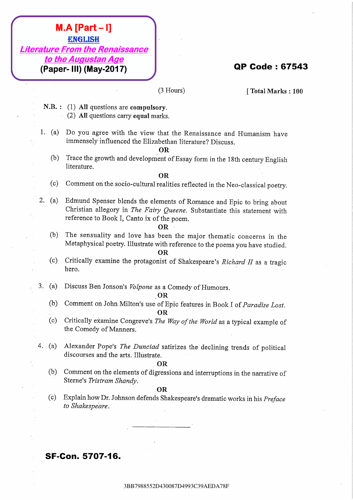- 
- 

- 
- **IMA FRACT-9138**<br> **38 EDA78F398**<br> **38 C4 D10 Augustan Age 2017**<br> **48 C4 D10 Augustan Age 2017**<br> **(2) All questions are computations,**<br>
33 (3) All questions are computations,<br>
4. (a) All questions are computations,<br>
(b) Th **M.A. (Parti - I)**<br> *BBR798858801499*<br> *BBR* 7498358867<br> **CALIC 101 OF Code : 675643**<br> **CALIC 101 OF Code : 675643**<br> **CALIC 101 OF Code 2017**<br> **CALIC 101 OF Code 2017**<br> **CALIC 101 OF Code 2017**<br> **CALIC 102**<br> **CALIC CODETS 19. A. Peart – II**)<br> **38 Excellistics According According C3110087**<br> **19. In the Augustan According Councer**<br> **19. In The stress according to the stress control in the U.S. (2) AI species control the stress control in th** 3BB7988552D430087D4993C39AEDA78F3BB7988552D430087D4993C39AEDA78F3BB7988552D430087D4993C39AEDA78F3BB7988552D430087D4993C39AEDA78F3BB7988552D430087D4993C39AEDA78F3BB7988552D430087D4993C39AEDA78F **3BAT-19**<br>
Literature Frementials Regenuissance<br> **(Paper-18) (May-2017)**<br>
(Paper-18) (May-2017)<br>
3BBx893 (Paper-18) (May-2017)<br>
3BB798853008 are computed view that the Restriction for the Taurence and Tomerican have<br>
1. ( **Examples 198811.538**<br> **Examples 8788612087**<br> **CPapers 191) (May-2007)**<br> **CPA**<br> **CPACE (2) AT greenting active computers**<br> **CPACE (2) AT greent active active activation of the solution of the solution of the solution of t 3BB7988785208**<br> **Example 2020 ABB7988587C39**<br> **(Paper-III) (May-2017)**<br>
STR.: (1) AB decolusions are computed with:<br>
STR.: (2) AB decolusions are computed with  $\sim$ <br>
(2) Decolusions of the size of the size of the size of **3BB7988785209**<br> **Example 27 Confident Definition and Confident Data Confident Data Confident Data Confident Data Confident Data Confident Data Confident Data Confident Data Confident Data Confident Data Confident Data Co 3BB798787**<br> **Example 25 C39AE AEDA78F3847C39**<br> **C39AET-11D (May-2017)**<br> **C39AET-11D (May-2017)**<br> **C3**<br> **C3**<br> **C3**<br> **C3**<br> **C3** C3 C34 C34BB79878784 C34BB7987875<br> **C3**<br> **C3** C4 C3 C4 C39AE ACTIVE CONDITION DESCRIPED IN THE **3BB798787**<br> **Example 25 C39AE AEDA78F3847C39**<br> **C39AET-11D (May-2017)**<br> **C39AET-11D (May-2017)**<br> **C3**<br> **C3**<br> **C3**<br> **C3**<br> **C3** C3 C34 C34BB79878784 C34BB7987875<br> **C3**<br> **C3** C4 C3 C4 C39AE ACTIVE CONDITION DESCRIPED IN THE **3BB798787**<br> **Example 25 C39AE AEDA78F3847C39**<br> **C39AET-11D (May-2017)**<br> **C39AET-11D (May-2017)**<br> **C3**<br> **C3**<br> **C3**<br> **C3**<br> **C3** C3 C34 C34BB79878784 C34BB7987875<br> **C3**<br> **C3** C4 C3 C4 C39AE ACTIVE CONDITION DESCRIPED IN THE **3BB7887879**<br> **Example 2013**<br> **Combargation Apple 2017**<br> **Combargation Apple 2017**<br> **Combargation Apple 2013**<br> **Combarging 2013**<br> **Combarging 2013**<br> **Combarging 2013**<br> **Combarging 2013**<br> **Combarging 2013**<br> **Combarging 201 3BB7988767**<br> **Example From the Education Acts**<br> **(Paper-19) (May-2017)**<br> **SLE.** COMB restricted and computation:<br>
N.B., COMB restricted and computations:<br>
1. (a) The Apple of the Second Second Chevat Scheme (Figure 2013) **3BB788747-19**<br> **Example From the Process same of the Context of the Context of the Context of the Context of the Context of the Context of the Context of the Context of the Context of the Context of the Context of the Co 3BB798787-11**<br> **External of From the Remainstance**<br> **(Paper-1B) (May-2017)**<br>
3 (316me) (**Paper-1B) (May-2017)**<br>
3 (316me) (**Paper-1998)**<br>
3 (316me) (**Paper-1998)**<br>
1. (3)  $\Delta t$  9 (are there will be a strong to the BR and **3B87812087**<br> **Elizardar From the Remains annota**<br> **(Paper-IBI) (May-2017)** (TPom) (The Code : 67543<br> **CAR8** (Paper-IBI) (May-2017) (TPom) (TPom) (The Code : 67543<br>
10. (5) AT operation are restricted in The Actual Conten **3BB78987847-19**<br> **Elforator From the Romalassance**<br> **(Paper-1B) (May-2017)**<br> **3D44**<br> **3D44** According the results of the results of the results of the results of the results of the results of the results in the results o **3BB7988588**<br> **External to the Augustan Age**<br> **(Paper-1B) (May-2017)**<br> **C** House)<br> **C Consequent A78F39**<br> **C C C C C C C C C C**<br> **C C C C C C C**<br> **C C C C C C C**<br> **C C C C 3BB78814587**<br> **Example From the Remaissance**<br> **(Paper-III) (May-2017)**<br> **CD**<br> **CD**<br> **CD**<br> **CD**<br> **CD**<br> **CD**<br> **CD**<br> **CD**<br> **CD**<br> **CD**<br> **CD**<br> **CD**<br> **CD**<br> **CD**<br> **CD**<br> **CD**<br> **CD**<br> **CD**<br> **CD**<br> **CD**<br> **CD**<br> **CD**<br> **CD**<br> **CD**<br> **CD Example 32**<br> **Example From the** *BR898888***<br>
(Paper-III) (New 2017)<br>
(B House) (P House) (P House) (P House) (P House) (P Note) (2) AI quasiene are empty reputational<br>
1. (c) B Paper agers with Lie view better the Remainta**

- 
- 

- 
- 
-